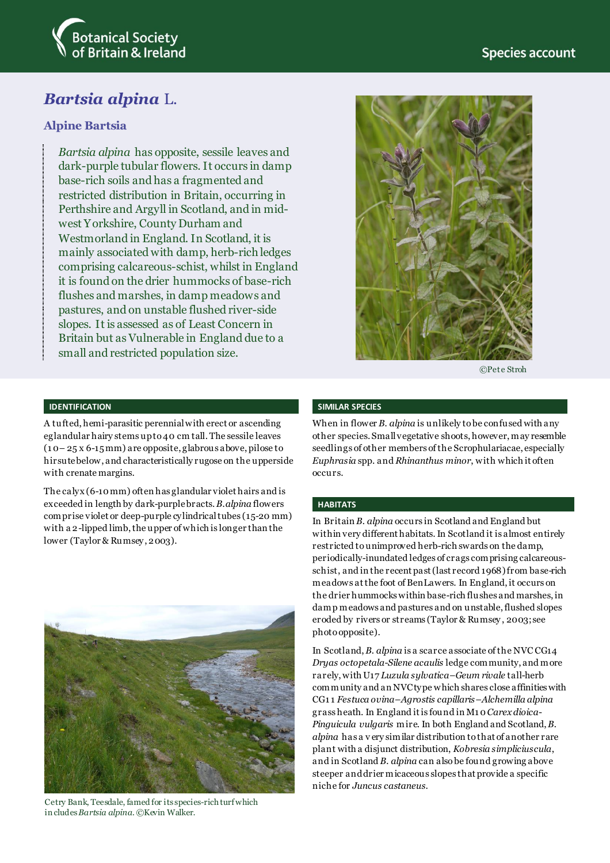

# *Bartsia alpina* L.

## **Alpine Bartsia**

*Bartsia alpina* has opposite, sessile leaves and dark-purple tubular flowers. It occurs in damp base-rich soils and has a fragmented and restricted distribution in Britain, occurring in Perthshire and Argyll in Scotland, and in midwest Yorkshire, County Durham and Westmorland in England. In Scotland, it is mainly associated with damp, herb-rich ledges comprising calcareous-schist, whilst in England it is found on the drier hummocks of base-rich flushes and marshes, in damp meadows and pastures, and on unstable flushed river-side slopes. It is assessed as of Least Concern in Britain but as Vulnerable in England due to a small and restricted population size.



©Pete Stroh

### **IDENTIFICATION**

A tufted, hemi-parasitic perennial with erect or ascending eglandular hairy stems up to 40 cm tall. The sessile leaves (1 0– 25 x 6-15 mm) are opposite, glabrous above, pilose to hirsute below, and characteristically rugose on the upperside with crenate margins.

The calyx (6-10 mm) often has glandular violet hairs and is exceeded in length by dark-purplebracts. *B.alpina* flowers comprise violet or deep-purple cylindrical tubes (15-20 mm) with a 2-lipped limb, the upper of which is longer than the lower (Taylor & Rumsey, 2003).



Cetry Bank, Teesdale, famed for its species-rich turf which in cludes *Bartsia alpina.* ©Kevin Walker.

### **SIMILAR SPECIES**

When in flower *B. alpina* is unlikely to be confused with any other species. Small vegetative shoots, however, may resemble seedlings of other members of the Scrophulariacae, especially *Euphrasia* spp. and *Rhinanthus minor*, with which it often occurs.

#### **HABITATS**

In Britain *B. alpina* occurs in Scotland and England but within very different habitats. In Scotland it is almost entirely restricted to unimproved herb-rich swards on the damp, periodically-inundated ledges of crags comprising calcareousschist, and in the recent past (last record 1968) from base-rich meadows at the foot of BenLawers. In England, it occurs on the drier hummocks within base-rich flushes and marshes, in damp meadows and pastures and on unstable, flushed slopes eroded by rivers or streams (Taylor & Rumsey , 2003; see photo opposite).

In Scotland, *B. alpina* is a scarce associate of the NVC CG14 *Dryas octopetala*-*Silene acaulis* ledge community, and more rarely,with U17 *Luzula sylvatica–Geum rivale* tall-herb community and an NVC type which shares close affinities with CG1 1 *Festuca ovina*–*Agrostis capillaris*–*Alchemilla alpina* grass heath. In England it is found in M1 0 *Carex dioica*-*Pinguicula vulgaris* mire. In both England and Scotland, *B. alpina* has a v ery similar distribution to that of another rare plant with a disjunct distribution, *Kobresia simpliciuscula*, and in Scotland *B. alpina* can also be found growing above steeper and drier micaceous slopes that provide a specific niche for *Juncus castaneus*.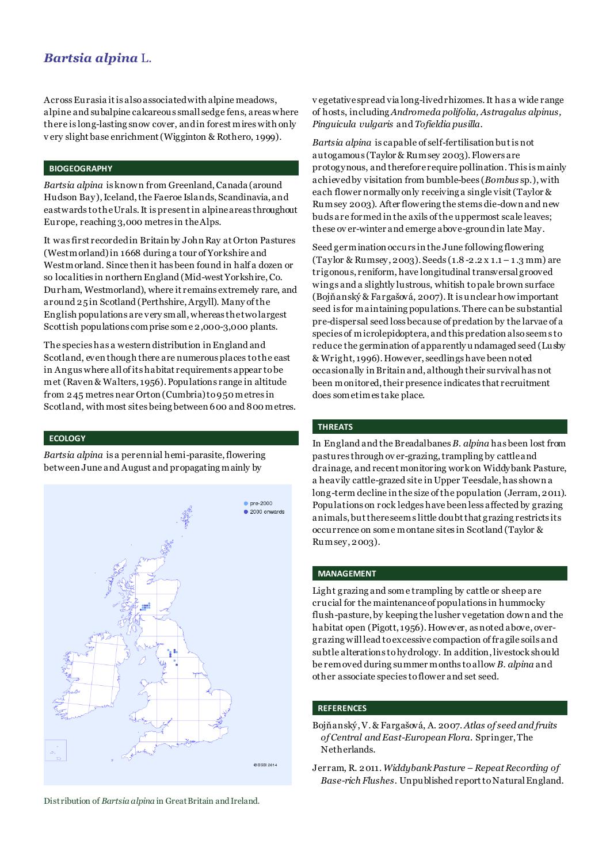# *Bartsia alpina* L.

Across Eurasia it is also associated with alpine meadows, alpine and subalpine calcareous small sedge fens, areas where there is long-lasting snow cover, andin forest mires with only v ery slight base enrichment (Wigginton & Rothero, 1999).

### **BIOGEOGRAPHY**

*Bartsia alpina* is known from Greenland, Canada (around Hudson Bay), Iceland, the Faeroe Islands, Scandinavia, and eastwards to the Urals. It is present in alpine areas throughout Europe, reaching 3,000 metres in the Alps.

It was first recorded in Britain by John Ray at Orton Pastures (Westmorland) in 1668 during a tour of Yorkshire and Westmorland. Since then it has been found in half a dozen or so localities in northern England (Mid-west Yorkshire, Co. Durham, Westmorland), where it remains extremely rare, and around 25 in Scotland (Perthshire, Argyll). Many of the English populations are very small, whereas the two largest Scottish populations comprise some 2,000-3,000 plants.

The species has a western distribution in England and Scotland, even though there are numerous places to the east in Angus where all of its habitat requirements appear to be met (Raven & Walters, 1956). Populations range in altitude from 245 metres near Orton (Cumbria) to 950 metres in Scotland, with most sites being between 600 and 800 metres.

#### **ECOLOGY**

*Bartsia alpina* is a perennial hemi-parasite,flowering between June and August and propagating mainly by



Distribution of *Bartsia alpina* in Great Britain and Ireland.

v egetative spread via long-lived rhizomes.It has a wide range of hosts, including *Andromeda polifolia, Astragalus alpinus, Pinguicula vulgaris* and *Tofieldia pusilla*.

*Bartsia alpina* is capable of self-fertilisation but is not autogamous (Taylor & Rumsey 2003). Flowers are protogynous, and therefore require pollination. This is mainly achieved by visitation from bumble-bees (*Bombus* sp.), with each flower normally only receiving a single visit (Taylor & Rumsey 2003). After flowering the stems die-down and new buds are formed in the axils of the uppermost scale leaves; these ov er-winter and emerge above-ground in late May.

Seed germination occurs in the June following flowering (Taylor & Rumsey, 2003). Seeds (1.8 -2.2 x 1.1 – 1 .3 mm) are trigonous, reniform, have longitudinal transversal grooved wings and a slightly lustrous, whitish to pale brown surface (Bojňanský & Fargašová, 2007). It is unclear how important seed is for maintaining populations. There can be substantial pre-dispersal seed loss because of predation by the larvae of a species of microlepidoptera, and this predation also seems to reduce the germination of apparently undamaged seed (Lusby & Wright, 1996). However, seedlings have been noted occasionally in Britain and, although their survival has not been monitored, their presence indicates that recruitment does sometimes take place.

#### **THREATS**

In England and the Breadalbanes *B. alpina* has been lost from pastures through ov er-grazing, trampling by cattle and drainage, and recent monitoring work on Widdybank Pasture, a heavily cattle-grazed site in Upper Teesdale, has shown a long-term decline in the size of the population (Jerram, 2011). Populations on rock ledges have been less affected by grazing animals, but there seems little doubt that grazing restricts its occurrence on some montane sites in Scotland (Taylor & Rumsey, 2003).

#### **MANAGEMENT**

Light grazing and some trampling by cattle or sheep are crucial for the maintenance of populations in hummocky flush-pasture, by keeping the lusher vegetation down and the habitat open (Pigott, 1956). However, as noted above, overgrazing will lead to excessive compaction of fragile soils and subtle alterations to hydrology. In addition, livestock should be removed during summer months to allow *B. alpina* and other associate species to flower and set seed.

#### **REFERENCES**

- Bojňanský, V. & Fargašová, A. 2007. *Atlas of seed and fruits of Central and East-European Flora*. Springer, The Netherlands.
- Jerram, R. 2011. *Widdybank Pasture – Repeat Recording of Base-rich Flushes.* Unpublished report to Natural England.